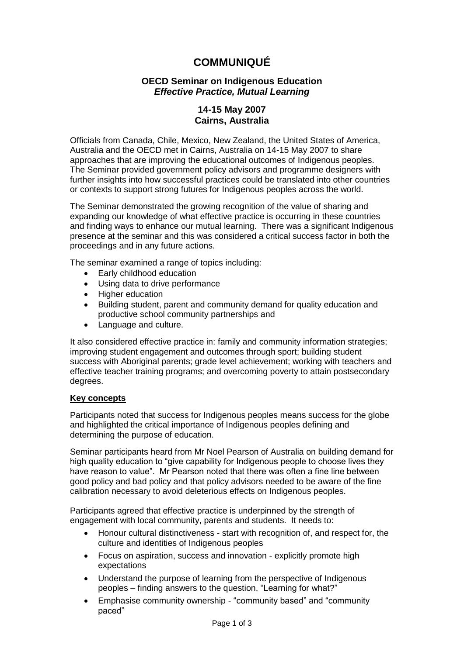# **COMMUNIQUÉ**

## **OECD Seminar on Indigenous Education** *Effective Practice, Mutual Learning*

## **14-15 May 2007 Cairns, Australia**

Officials from Canada, Chile, Mexico, New Zealand, the United States of America, Australia and the OECD met in Cairns, Australia on 14-15 May 2007 to share approaches that are improving the educational outcomes of Indigenous peoples. The Seminar provided government policy advisors and programme designers with further insights into how successful practices could be translated into other countries or contexts to support strong futures for Indigenous peoples across the world.

The Seminar demonstrated the growing recognition of the value of sharing and expanding our knowledge of what effective practice is occurring in these countries and finding ways to enhance our mutual learning. There was a significant Indigenous presence at the seminar and this was considered a critical success factor in both the proceedings and in any future actions.

The seminar examined a range of topics including:

- Early childhood education
- Using data to drive performance
- Higher education
- Building student, parent and community demand for quality education and productive school community partnerships and
- Language and culture.

It also considered effective practice in: family and community information strategies; improving student engagement and outcomes through sport; building student success with Aboriginal parents; grade level achievement; working with teachers and effective teacher training programs; and overcoming poverty to attain postsecondary degrees.

### **Key concepts**

Participants noted that success for Indigenous peoples means success for the globe and highlighted the critical importance of Indigenous peoples defining and determining the purpose of education.

Seminar participants heard from Mr Noel Pearson of Australia on building demand for high quality education to "give capability for Indigenous people to choose lives they have reason to value". Mr Pearson noted that there was often a fine line between good policy and bad policy and that policy advisors needed to be aware of the fine calibration necessary to avoid deleterious effects on Indigenous peoples.

Participants agreed that effective practice is underpinned by the strength of engagement with local community, parents and students. It needs to:

- Honour cultural distinctiveness start with recognition of, and respect for, the culture and identities of Indigenous peoples
- Focus on aspiration, success and innovation explicitly promote high expectations
- Understand the purpose of learning from the perspective of Indigenous peoples – finding answers to the question, "Learning for what?"
- Emphasise community ownership "community based" and "community paced"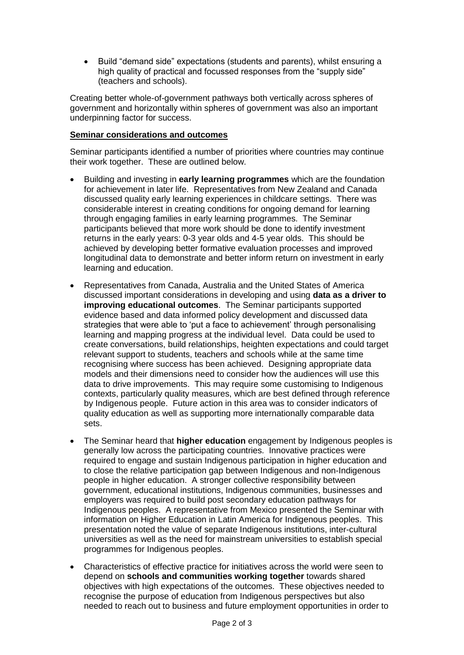Build "demand side" expectations (students and parents), whilst ensuring a high quality of practical and focussed responses from the "supply side" (teachers and schools).

Creating better whole-of-government pathways both vertically across spheres of government and horizontally within spheres of government was also an important underpinning factor for success.

#### **Seminar considerations and outcomes**

Seminar participants identified a number of priorities where countries may continue their work together. These are outlined below.

- Building and investing in **early learning programmes** which are the foundation for achievement in later life. Representatives from New Zealand and Canada discussed quality early learning experiences in childcare settings. There was considerable interest in creating conditions for ongoing demand for learning through engaging families in early learning programmes. The Seminar participants believed that more work should be done to identify investment returns in the early years: 0-3 year olds and 4-5 year olds. This should be achieved by developing better formative evaluation processes and improved longitudinal data to demonstrate and better inform return on investment in early learning and education.
- Representatives from Canada, Australia and the United States of America discussed important considerations in developing and using **data as a driver to improving educational outcomes**. The Seminar participants supported evidence based and data informed policy development and discussed data strategies that were able to "put a face to achievement" through personalising learning and mapping progress at the individual level. Data could be used to create conversations, build relationships, heighten expectations and could target relevant support to students, teachers and schools while at the same time recognising where success has been achieved. Designing appropriate data models and their dimensions need to consider how the audiences will use this data to drive improvements. This may require some customising to Indigenous contexts, particularly quality measures, which are best defined through reference by Indigenous people. Future action in this area was to consider indicators of quality education as well as supporting more internationally comparable data sets.
- The Seminar heard that **higher education** engagement by Indigenous peoples is generally low across the participating countries. Innovative practices were required to engage and sustain Indigenous participation in higher education and to close the relative participation gap between Indigenous and non-Indigenous people in higher education. A stronger collective responsibility between government, educational institutions, Indigenous communities, businesses and employers was required to build post secondary education pathways for Indigenous peoples. A representative from Mexico presented the Seminar with information on Higher Education in Latin America for Indigenous peoples. This presentation noted the value of separate Indigenous institutions, inter-cultural universities as well as the need for mainstream universities to establish special programmes for Indigenous peoples.
- Characteristics of effective practice for initiatives across the world were seen to depend on **schools and communities working together** towards shared objectives with high expectations of the outcomes. These objectives needed to recognise the purpose of education from Indigenous perspectives but also needed to reach out to business and future employment opportunities in order to